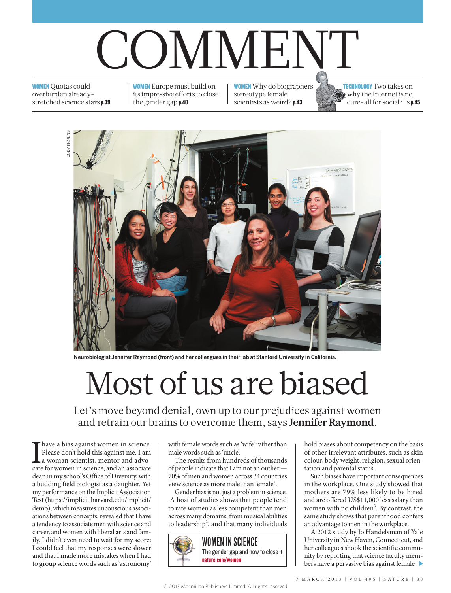## COMMENT

**WOMEN** Quotas could overburden alreadystretched science stars p.39

WOMEN Europe must build on its impressive efforts to close the gender gap p.40

WOMEN Why do biographers stereotype female scientists as weird? p.43

TECHNOLOGY Two takes on why the Internet is no cure-all for social ills p.45



**Neurobiologist Jennifer Raymond (front) and her colleagues in their lab at Stanford University in California.**

## Most of us are biased

Let's move beyond denial, own up to our prejudices against women and retrain our brains to overcome them, says **Jennifer Raymond**.

I have a bias against women in science.<br>
Please don't hold this against me. I am<br>
a woman scientist, mentor and advocate for women in science, and an associate Please don't hold this against me. I am a woman scientist, mentor and advodean in my school's Office of Diversity, with a budding field biologist as a daughter. Yet my performance on the Implicit Association Test (https://implicit.harvard.edu/implicit/ demo), which measures unconscious associations between concepts, revealed that I have a tendency to associate men with science and career, and women with liberal arts and family. I didn't even need to wait for my score; I could feel that my responses were slower and that I made more mistakes when I had to group science words such as 'astronomy'

with female words such as 'wife' rather than male words such as 'uncle'.

The results from hundreds of thousands of people indicate that I am not an outlier — 70% of men and women across 34 countries view science as more male than female<sup>1</sup>.

Gender bias is not just a problem in science. A host of studies shows that people tend to rate women as less competent than men across many domains, from musical abilities to leadership<sup>2</sup>, and that many individuals



hold biases about competency on the basis of other irrelevant attributes, such as skin colour, body weight, religion, sexual orientation and parental status.

Such biases have important consequences in the workplace. One study showed that mothers are 79% less likely to be hired and are offered US\$11,000 less salary than women with no children<sup>3</sup>. By contrast, the same study shows that parenthood confers an advantage to men in the workplace.

A 2012 study by Jo Handelsman of Yale University in New Haven, Connecticut, and her colleagues shook the scientific community by reporting that science faculty members have a pervasive bias against female  $\blacktriangleright$